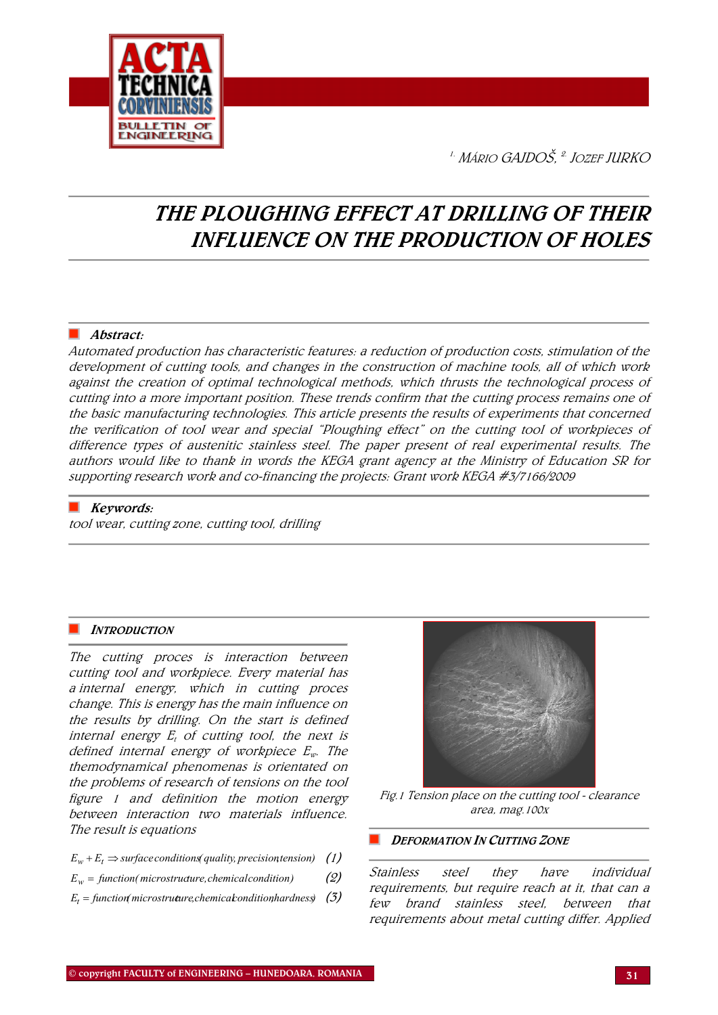

 $1.$  Mário Gaidoš,  $2.$  Iozef IIIRKO

# THE PLOUGHING EFFECT AT DRILLING OF THEIR INFLUENCE ON THE PRODUCTION OF HOLES

## Abstract:

Automated production has characteristic features: a reduction of production costs, stimulation of the development of cutting tools, and changes in the construction of machine tools, all of which work against the creation of optimal technological methods, which thrusts the technological process of cutting into a more important position. These trends confirm that the cutting process remains one of the basic manufacturing technologies. This article presents the results of experiments that concerned the verification of tool wear and special "Ploughing effect" on the cutting tool of workpieces of difference types of austenitic stainless steel. The paper present of real experimental results. The authors would like to thank in words the KEGA grant agency at the Ministry of Education SR for supporting research work and co-financing the projects: Grant work KEGA #3/7166/2009

## $\blacksquare$  Keywords:

tool wear, cutting zone, cutting tool, drilling

## **INTRODUCTION**

The cutting proces is interaction between cutting tool and workpiece. Every material has a internal energy, which in cutting proces change. This is energy has the main influence on the results by drilling. On the start is defined internal energy  $E_t$  of cutting tool, the next is defined internal energy of workpiece  $E_w$ . The themodynamical phenomenas is orientated on the problems of research of tensions on the tool figure 1 and definition the motion energy between interaction two materials influence. The result is equations

- $E_w + E_t \Rightarrow$  *surface conditions( quality, precision tension)* (1)
- $E_w =$  *function*(*microstructure, chemical condition*) (2)
- $E_t =$  function *microstruture, chemical condition hardness*) (3)



Fig.1 Tension place on the cutting tool - clearance area, mag.100x

## DEFORMATION IN CUTTING ZONE

Stainless steel they have individual requirements, but require reach at it, that can a few brand stainless steel, between that requirements about metal cutting differ. Applied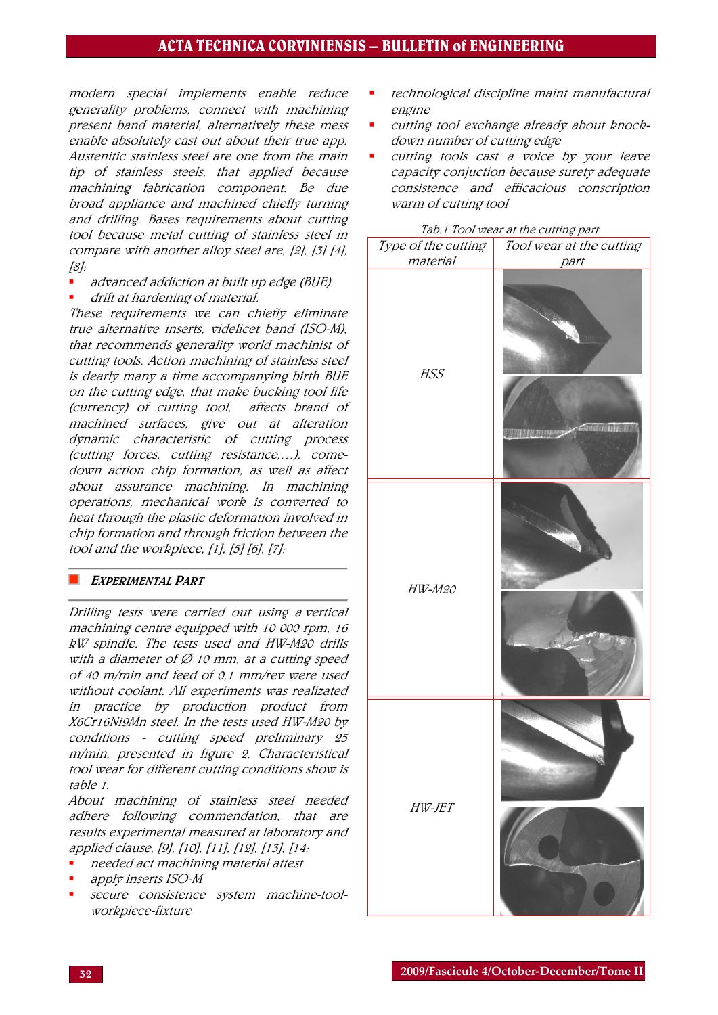# ACTA TECHNICA CORVINIENSIS – BULLETIN of ENGINEERING

modern special implements enable reduce generality problems, connect with machining present band material, alternatively these mess enable absolutely cast out about their true app. Austenitic stainless steel are one from the main tip of stainless steels, that applied because machining fabrication component. Be due broad appliance and machined chiefly turning and drilling. Bases requirements about cutting tool because metal cutting of stainless steel in compare with another alloy steel are, [2], [3] [4], [8]:

- advanced addiction at built up edge (BUE)
- drift at hardening of material.

These requirements we can chiefly eliminate true alternative inserts, videlicet band (ISO-M), that recommends generality world machinist of cutting tools. Action machining of stainless steel is dearly many a time accompanying birth BUE on the cutting edge, that make bucking tool life (currency) of cutting tool, affects brand of machined surfaces, give out at alteration dynamic characteristic of cutting process (cutting forces, cutting resistance,…), comedown action chip formation, as well as affect about assurance machining. In machining operations, mechanical work is converted to heat through the plastic deformation involved in chip formation and through friction between the tool and the workpiece,  $[1]$ ,  $[5]$   $[6]$ ,  $[7]$ :

## **EXPERIMENTAL PART**

Drilling tests were carried out using a vertical machining centre equipped with 10 000 rpm, 16 kW spindle. The tests used and HW-M20 drills with a diameter of  $\varnothing$  10 mm, at a cutting speed of 40 m/min and feed of 0,1 mm/rev were used without coolant. All experiments was realizated in practice by production product from X6Cr16Ni9Mn steel. In the tests used HW-M20 by conditions - cutting speed preliminary 25 m/min, presented in figure 2. Characteristical tool wear for different cutting conditions show is table 1.

About machining of stainless steel needed adhere following commendation, that are results experimental measured at laboratory and applied clause, [9], [10], [11], [12], [13], [14:

- needed act machining material attest
- apply inserts ISO-M
- secure consistence system machine-toolworkpiece-fixture
- technological discipline maint manufactural engine
- cutting tool exchange already about knockdown number of cutting edge
- cutting tools cast a voice by your leave capacity conjuction because surety adequate consistence and efficacious conscription warm of cutting tool

| Type of the cutting | <u>Tub.1 Tool wear at the cutting part</u> |
|---------------------|--------------------------------------------|
| material            | Tool wear at the cutting                   |
| HSS                 | part                                       |
| HW-M20              |                                            |
| HW-JET              |                                            |

#### Tab.1 Tool wear at the cutting part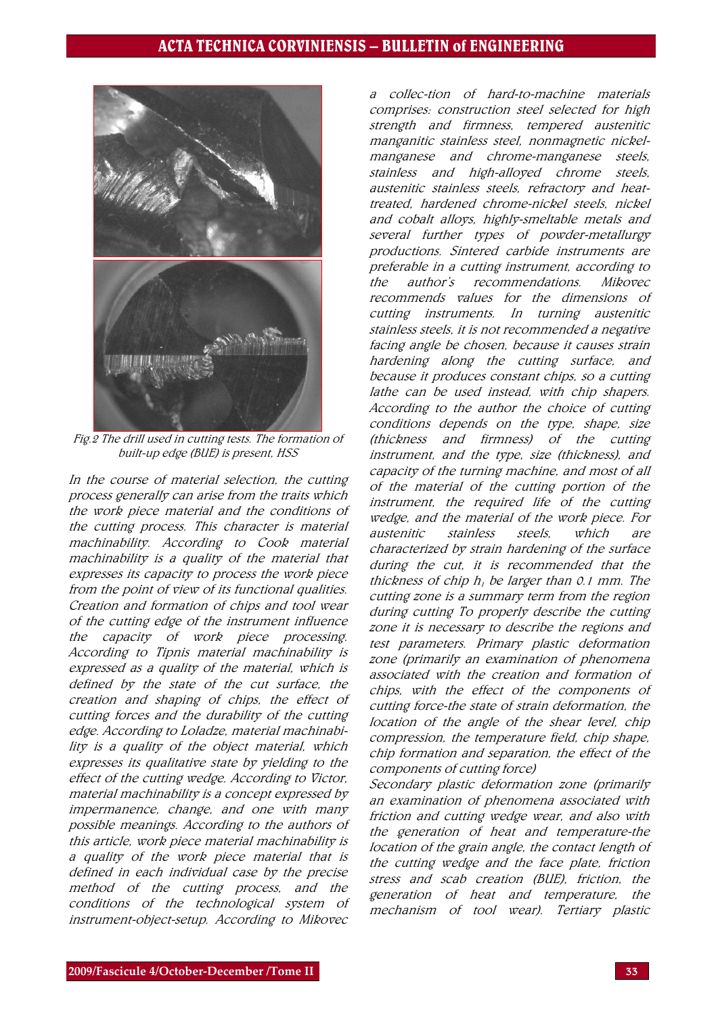

Fig.2 The drill used in cutting tests. The formation of built-up edge (BUE) is present, HSS

In the course of material selection, the cutting process generally can arise from the traits which the work piece material and the conditions of the cutting process. This character is material machinability. According to Cook material machinability is a quality of the material that expresses its capacity to process the work piece from the point of view of its functional qualities. Creation and formation of chips and tool wear of the cutting edge of the instrument influence the capacity of work piece processing. According to Tipnis material machinability is expressed as a quality of the material, which is defined by the state of the cut surface, the creation and shaping of chips, the effect of cutting forces and the durability of the cutting edge. According to Loladze, material machinability is a quality of the object material, which expresses its qualitative state by yielding to the effect of the cutting wedge. According to Victor, material machinability is a concept expressed by impermanence, change, and one with many possible meanings. According to the authors of this article, work piece material machinability is a quality of the work piece material that is defined in each individual case by the precise method of the cutting process, and the conditions of the technological system of instrument-object-setup. According to Mikovec

collec-tion of hard-to-machine materials comprises: construction steel selected for high strength and firmness, tempered austenitic manganitic stainless steel, nonmagnetic nickelmanganese and chrome-manganese steels, stainless and high-alloyed chrome steels, austenitic stainless steels, refractory and heattreated, hardened chrome-nickel steels, nickel and cobalt alloys, highly-smeltable metals and several further types of powder-metallurgy productions. Sintered carbide instruments are preferable in a cutting instrument, according to the author's recommendations. Mikovec recommends values for the dimensions of cutting instruments. In turning austenitic stainless steels, it is not recommended a negative facing angle be chosen, because it causes strain hardening along the cutting surface, and because it produces constant chips, so a cutting lathe can be used instead, with chip shapers. According to the author the choice of cutting conditions depends on the type, shape, size (thickness and firmness) of the cutting instrument, and the type, size (thickness), and capacity of the turning machine, and most of all of the material of the cutting portion of the instrument, the required life of the cutting wedge, and the material of the work piece. For austenitic stainless steels, which are characterized by strain hardening of the surface during the cut, it is recommended that the thickness of chip  $h<sub>i</sub>$  be larger than 0.1 mm. The cutting zone is a summary term from the region during cutting To properly describe the cutting zone it is necessary to describe the regions and test parameters. Primary plastic deformation zone (primarily an examination of phenomena associated with the creation and formation of chips, with the effect of the components of cutting force-the state of strain deformation, the location of the angle of the shear level, chip compression, the temperature field, chip shape, chip formation and separation, the effect of the components of cutting force)

Secondary plastic deformation zone (primarily an examination of phenomena associated with friction and cutting wedge wear, and also with the generation of heat and temperature-the location of the grain angle, the contact length of the cutting wedge and the face plate, friction stress and scab creation (BUE), friction, the generation of heat and temperature, the mechanism of tool wear). Tertiary plastic